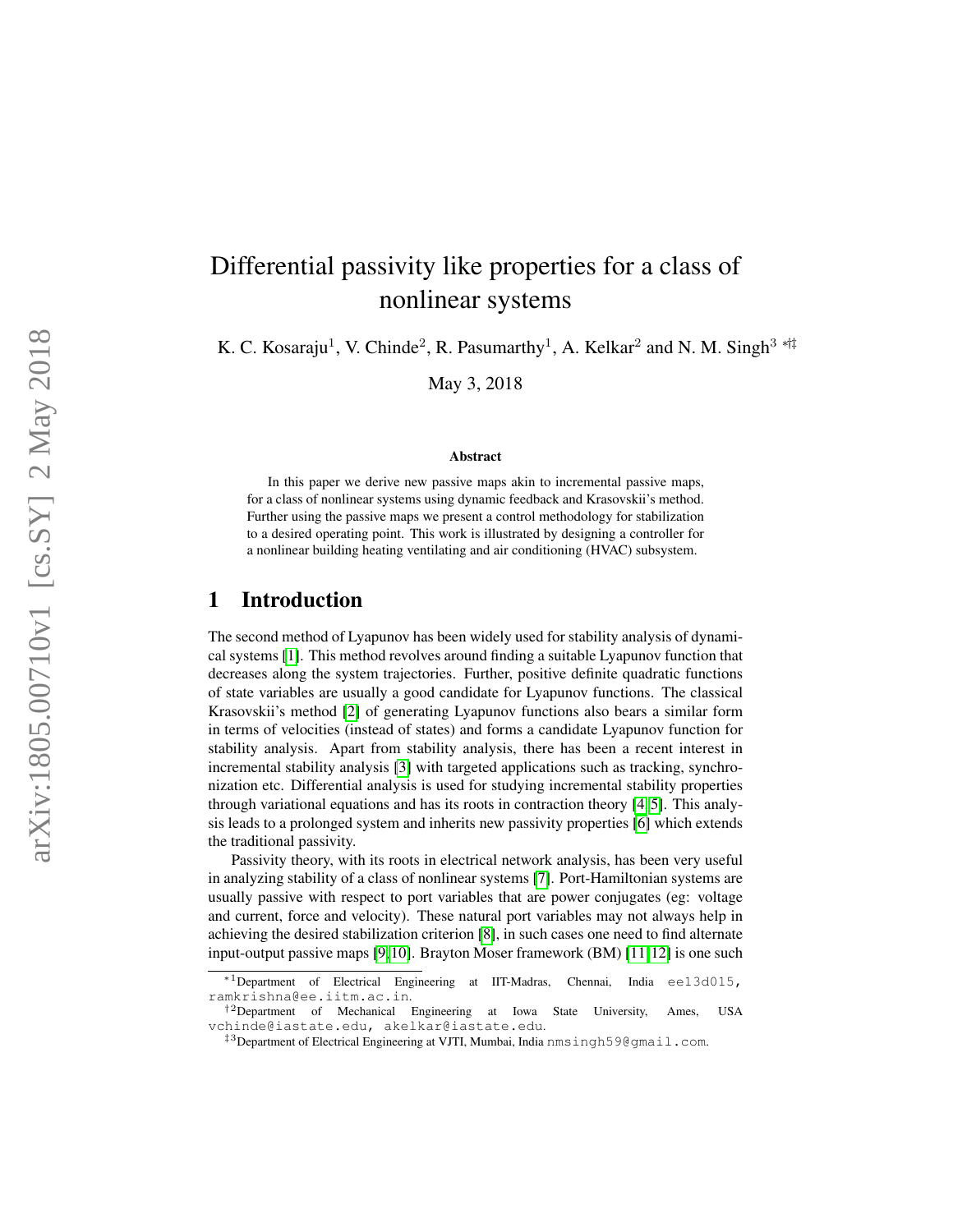# Differential passivity like properties for a class of nonlinear systems

K. C. Kosaraju<sup>1</sup>, V. Chinde<sup>2</sup>, R. Pasumarthy<sup>1</sup>, A. Kelkar<sup>2</sup> and N. M. Singh<sup>3</sup> \*<sup>†‡</sup>

May 3, 2018

#### Abstract

In this paper we derive new passive maps akin to incremental passive maps, for a class of nonlinear systems using dynamic feedback and Krasovskii's method. Further using the passive maps we present a control methodology for stabilization to a desired operating point. This work is illustrated by designing a controller for a nonlinear building heating ventilating and air conditioning (HVAC) subsystem.

## 1 Introduction

The second method of Lyapunov has been widely used for stability analysis of dynamical systems [\[1\]](#page-15-0). This method revolves around finding a suitable Lyapunov function that decreases along the system trajectories. Further, positive definite quadratic functions of state variables are usually a good candidate for Lyapunov functions. The classical Krasovskii's method [\[2\]](#page-15-1) of generating Lyapunov functions also bears a similar form in terms of velocities (instead of states) and forms a candidate Lyapunov function for stability analysis. Apart from stability analysis, there has been a recent interest in incremental stability analysis [\[3\]](#page-15-2) with targeted applications such as tracking, synchronization etc. Differential analysis is used for studying incremental stability properties through variational equations and has its roots in contraction theory [\[4,](#page-15-3) [5\]](#page-15-4). This analysis leads to a prolonged system and inherits new passivity properties [\[6\]](#page-15-5) which extends the traditional passivity.

Passivity theory, with its roots in electrical network analysis, has been very useful in analyzing stability of a class of nonlinear systems [\[7\]](#page-16-0). Port-Hamiltonian systems are usually passive with respect to port variables that are power conjugates (eg: voltage and current, force and velocity). These natural port variables may not always help in achieving the desired stabilization criterion [\[8\]](#page-16-1), in such cases one need to find alternate input-output passive maps [\[9,](#page-16-2)[10\]](#page-16-3). Brayton Moser framework (BM) [\[11,](#page-16-4)[12\]](#page-16-5) is one such

<sup>∗</sup>1Department of Electrical Engineering at IIT-Madras, Chennai, India ee13d015, ramkrishna@ee.iitm.ac.in .

<sup>&</sup>lt;sup>†2</sup>Department of Mechanical Engineering at Iowa State University, Ames, USA vchinde@iastate.edu, akelkar@iastate.edu .

<sup>&</sup>lt;sup>‡3</sup>Department of Electrical Engineering at VJTI, Mumbai, India nmsingh59@gmail.com.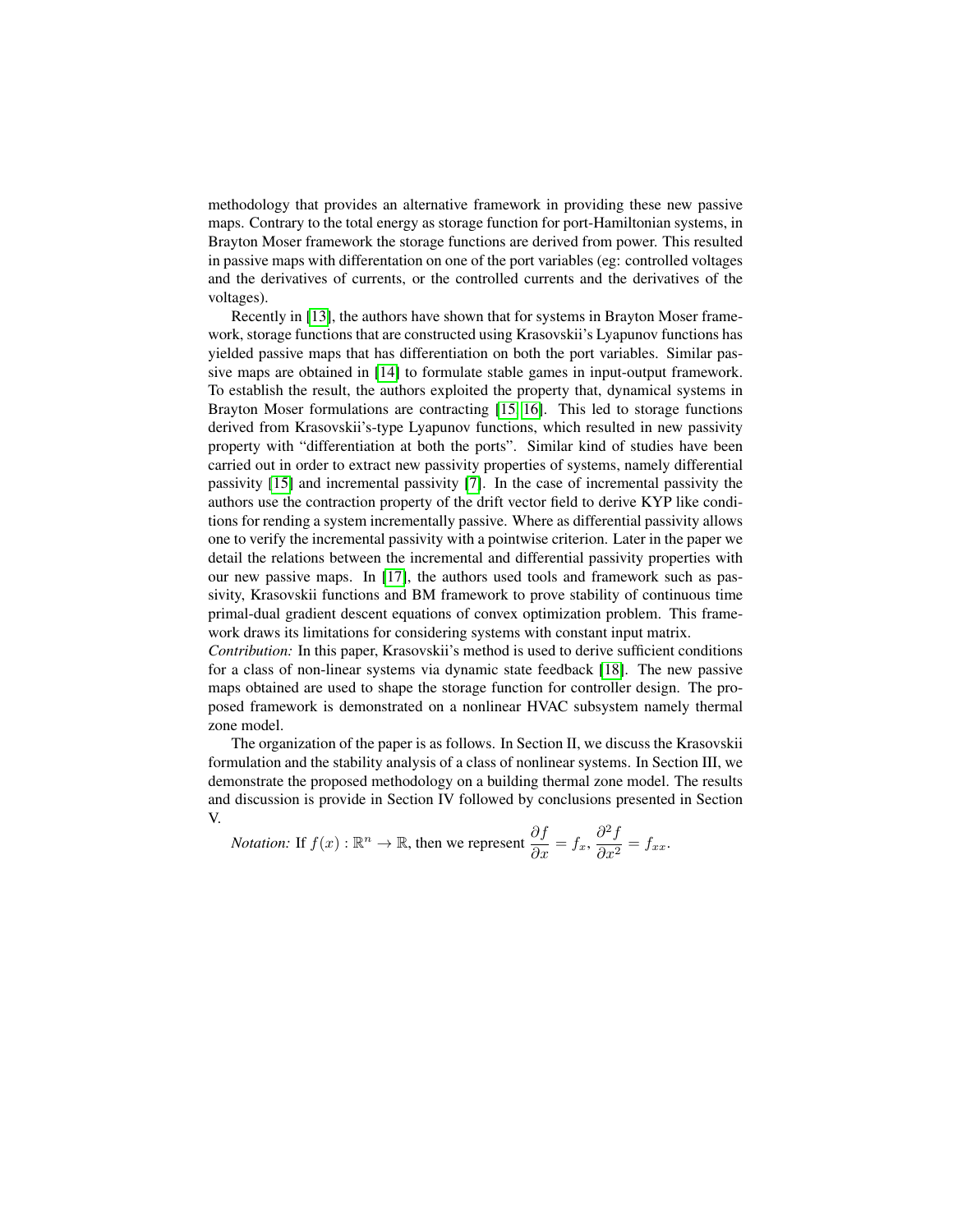methodology that provides an alternative framework in providing these new passive maps. Contrary to the total energy as storage function for port-Hamiltonian systems, in Brayton Moser framework the storage functions are derived from power. This resulted in passive maps with differentation on one of the port variables (eg: controlled voltages and the derivatives of currents, or the controlled currents and the derivatives of the voltages).

Recently in [\[13\]](#page-16-6), the authors have shown that for systems in Brayton Moser framework, storage functions that are constructed using Krasovskii's Lyapunov functions has yielded passive maps that has differentiation on both the port variables. Similar passive maps are obtained in [\[14\]](#page-16-7) to formulate stable games in input-output framework. To establish the result, the authors exploited the property that, dynamical systems in Brayton Moser formulations are contracting [\[15,](#page-16-8) [16\]](#page-16-9). This led to storage functions derived from Krasovskii's-type Lyapunov functions, which resulted in new passivity property with "differentiation at both the ports". Similar kind of studies have been carried out in order to extract new passivity properties of systems, namely differential passivity [\[15\]](#page-16-8) and incremental passivity [\[7\]](#page-16-0). In the case of incremental passivity the authors use the contraction property of the drift vector field to derive KYP like conditions for rending a system incrementally passive. Where as differential passivity allows one to verify the incremental passivity with a pointwise criterion. Later in the paper we detail the relations between the incremental and differential passivity properties with our new passive maps. In [\[17\]](#page-16-10), the authors used tools and framework such as passivity, Krasovskii functions and BM framework to prove stability of continuous time primal-dual gradient descent equations of convex optimization problem. This framework draws its limitations for considering systems with constant input matrix.

*Contribution:* In this paper, Krasovskii's method is used to derive sufficient conditions for a class of non-linear systems via dynamic state feedback [\[18\]](#page-16-11). The new passive maps obtained are used to shape the storage function for controller design. The proposed framework is demonstrated on a nonlinear HVAC subsystem namely thermal zone model.

The organization of the paper is as follows. In Section II, we discuss the Krasovskii formulation and the stability analysis of a class of nonlinear systems. In Section III, we demonstrate the proposed methodology on a building thermal zone model. The results and discussion is provide in Section IV followed by conclusions presented in Section V.

*Notation:* If 
$$
f(x) : \mathbb{R}^n \to \mathbb{R}
$$
, then we represent  $\frac{\partial f}{\partial x} = f_x$ ,  $\frac{\partial^2 f}{\partial x^2} = f_{xx}$ .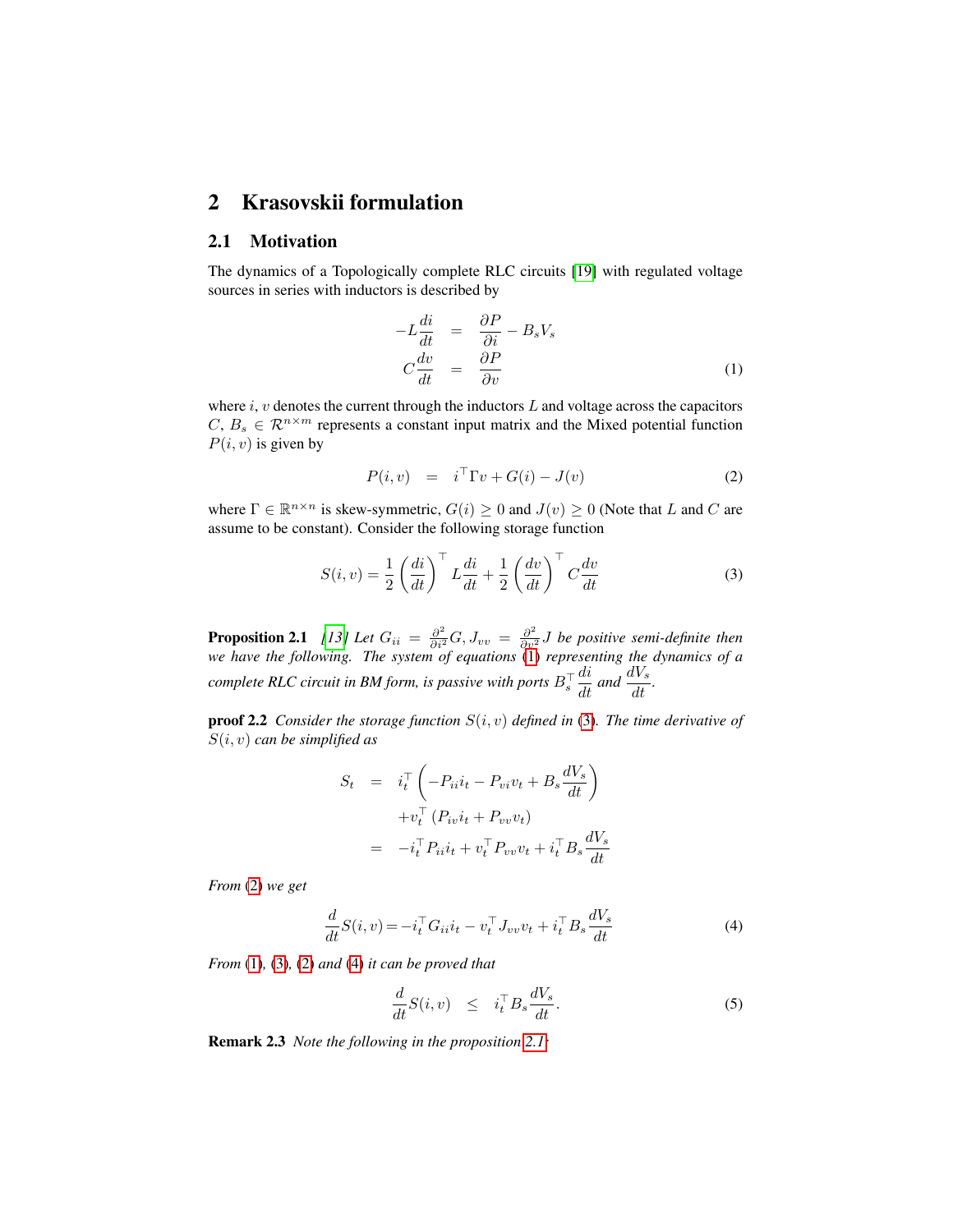## 2 Krasovskii formulation

#### 2.1 Motivation

The dynamics of a Topologically complete RLC circuits [\[19\]](#page-16-12) with regulated voltage sources in series with inductors is described by

<span id="page-2-0"></span>
$$
-L\frac{di}{dt} = \frac{\partial P}{\partial i} - B_s V_s
$$
  

$$
C\frac{dv}{dt} = \frac{\partial P}{\partial v}
$$
 (1)

where  $i$ ,  $v$  denotes the current through the inductors  $L$  and voltage across the capacitors  $C, B_s \in \mathbb{R}^{n \times m}$  represents a constant input matrix and the Mixed potential function  $P(i, v)$  is given by

<span id="page-2-2"></span>
$$
P(i, v) = iT \Gamma v + G(i) - J(v)
$$
 (2)

where  $\Gamma \in \mathbb{R}^{n \times n}$  is skew-symmetric,  $G(i) \geq 0$  and  $J(v) \geq 0$  (Note that L and C are assume to be constant). Consider the following storage function

<span id="page-2-1"></span>
$$
S(i, v) = \frac{1}{2} \left(\frac{di}{dt}\right)^{\top} L \frac{di}{dt} + \frac{1}{2} \left(\frac{dv}{dt}\right)^{\top} C \frac{dv}{dt}
$$
 (3)

<span id="page-2-4"></span>**Proposition 2.1** [\[13\]](#page-16-6) Let  $G_{ii} = \frac{\partial^2}{\partial i^2} G$ ,  $J_{vv} = \frac{\partial^2}{\partial v^2} J$  be positive semi-definite then *we have the following. The system of equations* [\(1\)](#page-2-0) *representing the dynamics of a complete RLC circuit in BM form, is passive with ports*  $B_s^{\top}$  $\frac{di}{dt}$  and  $\frac{dV_s}{dt}$ .

proof 2.2 *Consider the storage function* S(i, v) *defined in* [\(3\)](#page-2-1)*. The time derivative of* S(i, v) *can be simplified as*

$$
S_t = i_t^{\top} \left( -P_{ii}i_t - P_{vi}v_t + B_s \frac{dV_s}{dt} \right)
$$
  
+  $v_t^{\top} (P_{iv}i_t + P_{vv}v_t)$   
=  $-i_t^{\top} P_{ii}i_t + v_t^{\top} P_{vv}v_t + i_t^{\top} B_s \frac{dV_s}{dt}$ 

*From* [\(2\)](#page-2-2) *we get*

<span id="page-2-3"></span>
$$
\frac{d}{dt}S(i, v) = -i_t^\top G_{ii}i_t - v_t^\top J_{vv}v_t + i_t^\top B_s \frac{dV_s}{dt}
$$
\n<sup>(4)</sup>

*From* [\(1\)](#page-2-0)*,* [\(3\)](#page-2-1)*,* [\(2\)](#page-2-2) *and* [\(4\)](#page-2-3) *it can be proved that*

$$
\frac{d}{dt}S(i,v) \leq i_t^\top B_s \frac{dV_s}{dt}.\tag{5}
$$

Remark 2.3 *Note the following in the proposition [2.1:](#page-2-4)*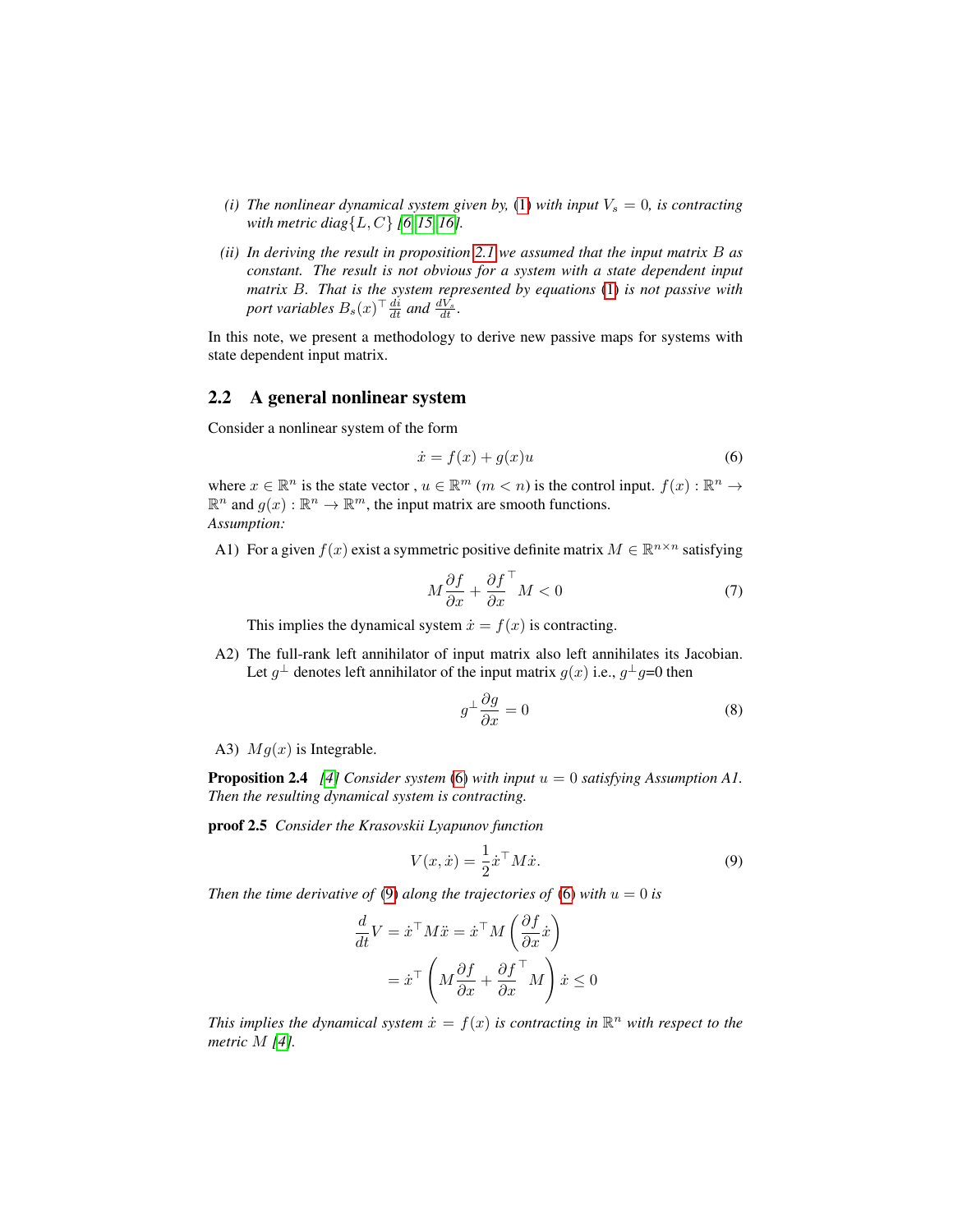- *(i) The nonlinear dynamical system given by,* [\(1\)](#page-2-0) *with input*  $V_s = 0$ *, is contracting with metric diag*{L, C} *[\[6,](#page-15-5) [15,](#page-16-8) [16\]](#page-16-9).*
- *(ii) In deriving the result in proposition [2.1](#page-2-4) we assumed that the input matrix* B *as constant. The result is not obvious for a system with a state dependent input matrix* B*. That is the system represented by equations* [\(1\)](#page-2-0) *is not passive with* port variables  $B_s(x)^\top \frac{di}{dt}$  and  $\frac{dV_s}{dt}$ .

In this note, we present a methodology to derive new passive maps for systems with state dependent input matrix.

#### 2.2 A general nonlinear system

Consider a nonlinear system of the form

<span id="page-3-0"></span>
$$
\dot{x} = f(x) + g(x)u\tag{6}
$$

where  $x \in \mathbb{R}^n$  is the state vector,  $u \in \mathbb{R}^m$   $(m < n)$  is the control input.  $f(x) : \mathbb{R}^n \to$  $\mathbb{R}^n$  and  $g(x): \mathbb{R}^n \to \mathbb{R}^m$ , the input matrix are smooth functions. *Assumption:*

A1) For a given  $f(x)$  exist a symmetric positive definite matrix  $M \in \mathbb{R}^{n \times n}$  satisfying

<span id="page-3-2"></span>
$$
M\frac{\partial f}{\partial x} + \frac{\partial f}{\partial x}^{\top} M < 0\tag{7}
$$

This implies the dynamical system  $\dot{x} = f(x)$  is contracting.

A2) The full-rank left annihilator of input matrix also left annihilates its Jacobian. Let  $g^{\perp}$  denotes left annihilator of the input matrix  $g(x)$  i.e.,  $g^{\perp}g=0$  then

$$
g^{\perp} \frac{\partial g}{\partial x} = 0 \tag{8}
$$

A3)  $Mg(x)$  is Integrable.

<span id="page-3-3"></span>Proposition 2.4 *[\[4\]](#page-15-3) Consider system* [\(6\)](#page-3-0) *with input* u = 0 *satisfying Assumption A1. Then the resulting dynamical system is contracting.*

proof 2.5 *Consider the Krasovskii Lyapunov function*

<span id="page-3-1"></span>
$$
V(x, \dot{x}) = \frac{1}{2} \dot{x}^\top M \dot{x}.
$$
 (9)

*Then the time derivative of* [\(9\)](#page-3-1) *along the trajectories of* [\(6\)](#page-3-0) *with*  $u = 0$  *is* 

$$
\frac{d}{dt}V = \dot{x}^\top M \ddot{x} = \dot{x}^\top M \left(\frac{\partial f}{\partial x} \dot{x}\right)
$$

$$
= \dot{x}^\top \left(M \frac{\partial f}{\partial x} + \frac{\partial f}{\partial x}^\top M\right) \dot{x} \le 0
$$

This implies the dynamical system  $\dot{x} = f(x)$  is contracting in  $\mathbb{R}^n$  with respect to the *metric* M *[\[4\]](#page-15-3).*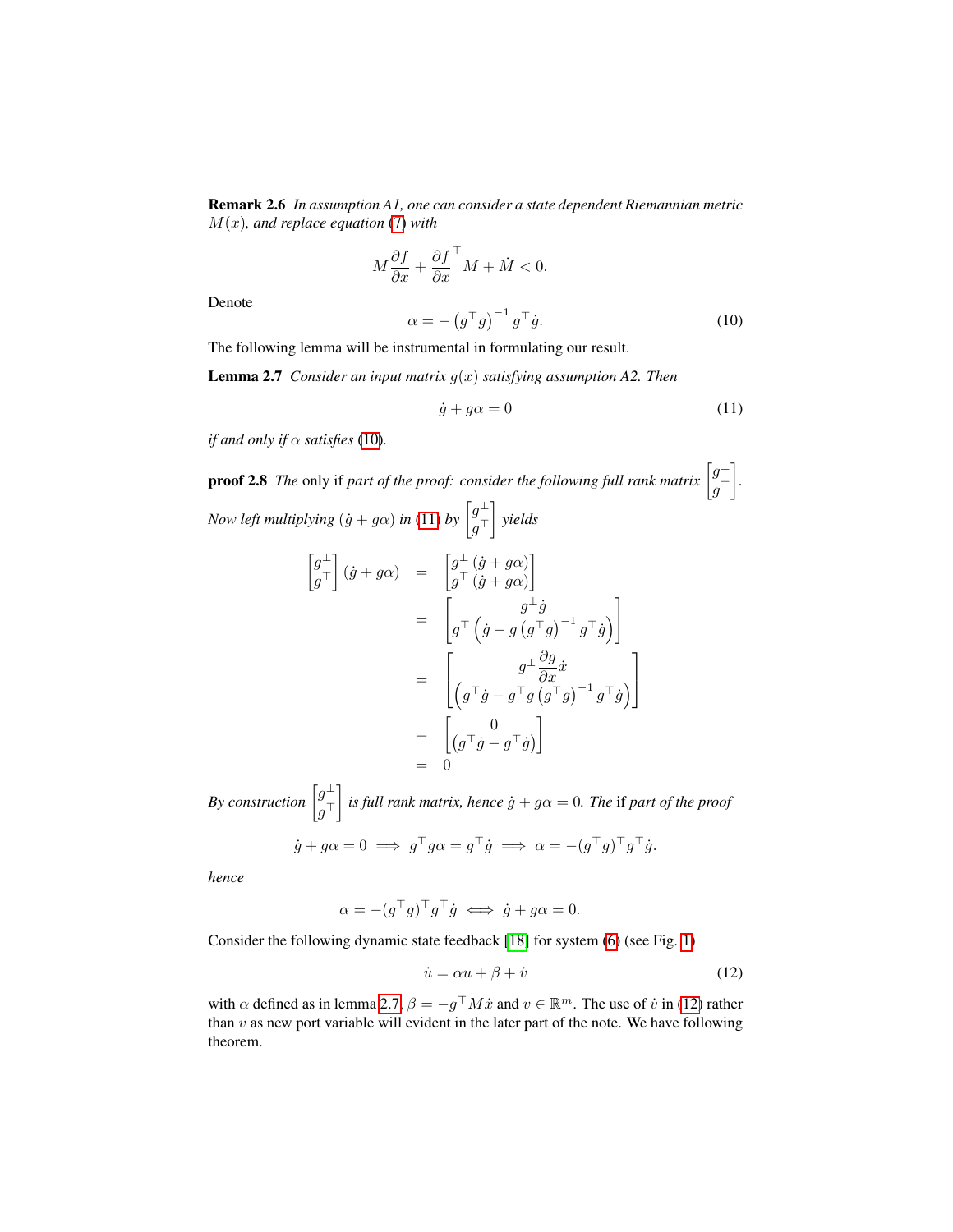Remark 2.6 *In assumption A1, one can consider a state dependent Riemannian metric* M(x)*, and replace equation* [\(7\)](#page-3-2) *with*

$$
M\frac{\partial f}{\partial x} + \frac{\partial f}{\partial x}^{\top} M + \dot{M} < 0.
$$

Denote

<span id="page-4-0"></span>
$$
\alpha = -\left(g^{\top}g\right)^{-1}g^{\top}\dot{g}.\tag{10}
$$

The following lemma will be instrumental in formulating our result.

Lemma 2.7 *Consider an input matrix* g(x) *satisfying assumption A2. Then*

<span id="page-4-2"></span><span id="page-4-1"></span>
$$
\dot{g} + g\alpha = 0 \tag{11}
$$

*if and only if*  $\alpha$  *satisfies* [\(10\)](#page-4-0).

**proof 2.8** The only if part of the proof: consider the following full rank matrix  $\left[g_{\perp}^{\perp}\right]$  $g^\top$  *. Now left multiplying*  $(j + g\alpha)$  *in* [\(11\)](#page-4-1) *by*  $\left[g_{\alpha}^{\perp}\right]$  $g^\top$ *yields*

$$
\begin{aligned}\n\begin{bmatrix} g_{\perp}^{\perp} \\ g_{\perp} \end{bmatrix} (\dot{g} + g\alpha) &= \begin{bmatrix} g_{\perp}^{\perp} (\dot{g} + g\alpha) \\ g^{\top} (\dot{g} + g\alpha) \end{bmatrix} \\
&= \begin{bmatrix} g_{\perp}^{\perp} \dot{g} \\ g^{\top} (\dot{g} - g (g^{\top}g)^{-1} g^{\top} \dot{g}) \end{bmatrix} \\
&= \begin{bmatrix} g_{\perp} \frac{\partial g}{\partial x} \dot{x} \\ \left( g^{\top} \dot{g} - g^{\top} g (g^{\top}g)^{-1} g^{\top} \dot{g} \right) \end{bmatrix} \\
&= \begin{bmatrix} 0 \\ \left( g^{\top} \dot{g} - g^{\top} \dot{g} \right) \end{bmatrix} \\
&= 0\n\end{aligned}
$$

*By construction*  $\left[g_{\perp}^{\perp}\right]$  $g^\top$  $\int$  is full rank matrix, hence  $\dot{g} + g\alpha = 0$ . The if part of the proof

$$
\dot{g} + g\alpha = 0 \implies g^{\top}g\alpha = g^{\top}\dot{g} \implies \alpha = -(g^{\top}g)^{\top}g^{\top}\dot{g}.
$$

*hence*

$$
\alpha = -(g^{\top}g)^{\top}g^{\top}\dot{g} \iff \dot{g} + g\alpha = 0.
$$

Consider the following dynamic state feedback [\[18\]](#page-16-11) for system [\(6\)](#page-3-0) (see Fig. [1\)](#page-5-0)

<span id="page-4-3"></span>
$$
\dot{u} = \alpha u + \beta + \dot{v} \tag{12}
$$

<span id="page-4-4"></span>with  $\alpha$  defined as in lemma [2.7,](#page-4-2)  $\beta = -g^{\top}M\dot{x}$  and  $v \in \mathbb{R}^m$ . The use of  $\dot{v}$  in [\(12\)](#page-4-3) rather than  $v$  as new port variable will evident in the later part of the note. We have following theorem.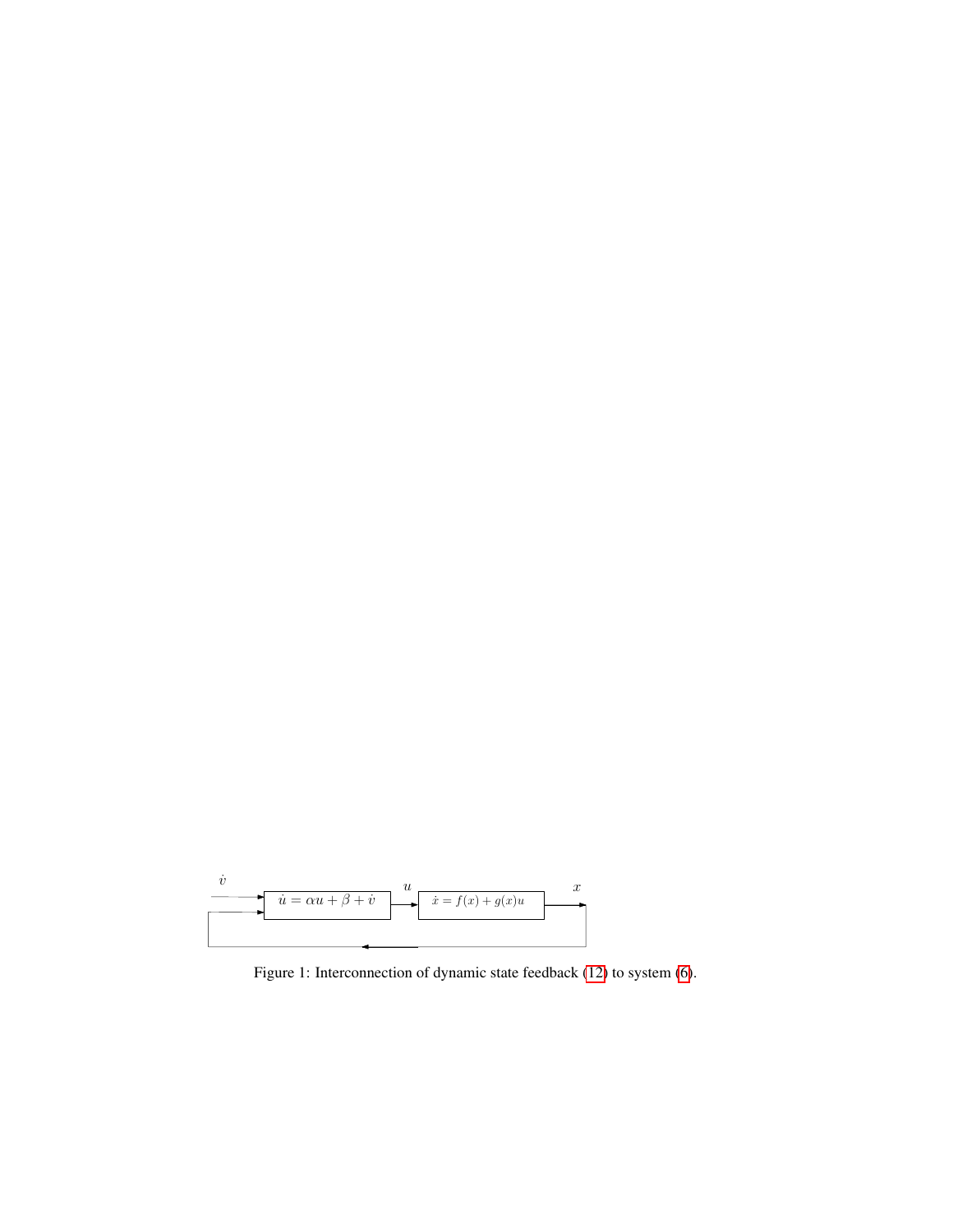<span id="page-5-0"></span>

Figure 1: Interconnection of dynamic state feedback [\(12\)](#page-4-3) to system [\(6\)](#page-3-0).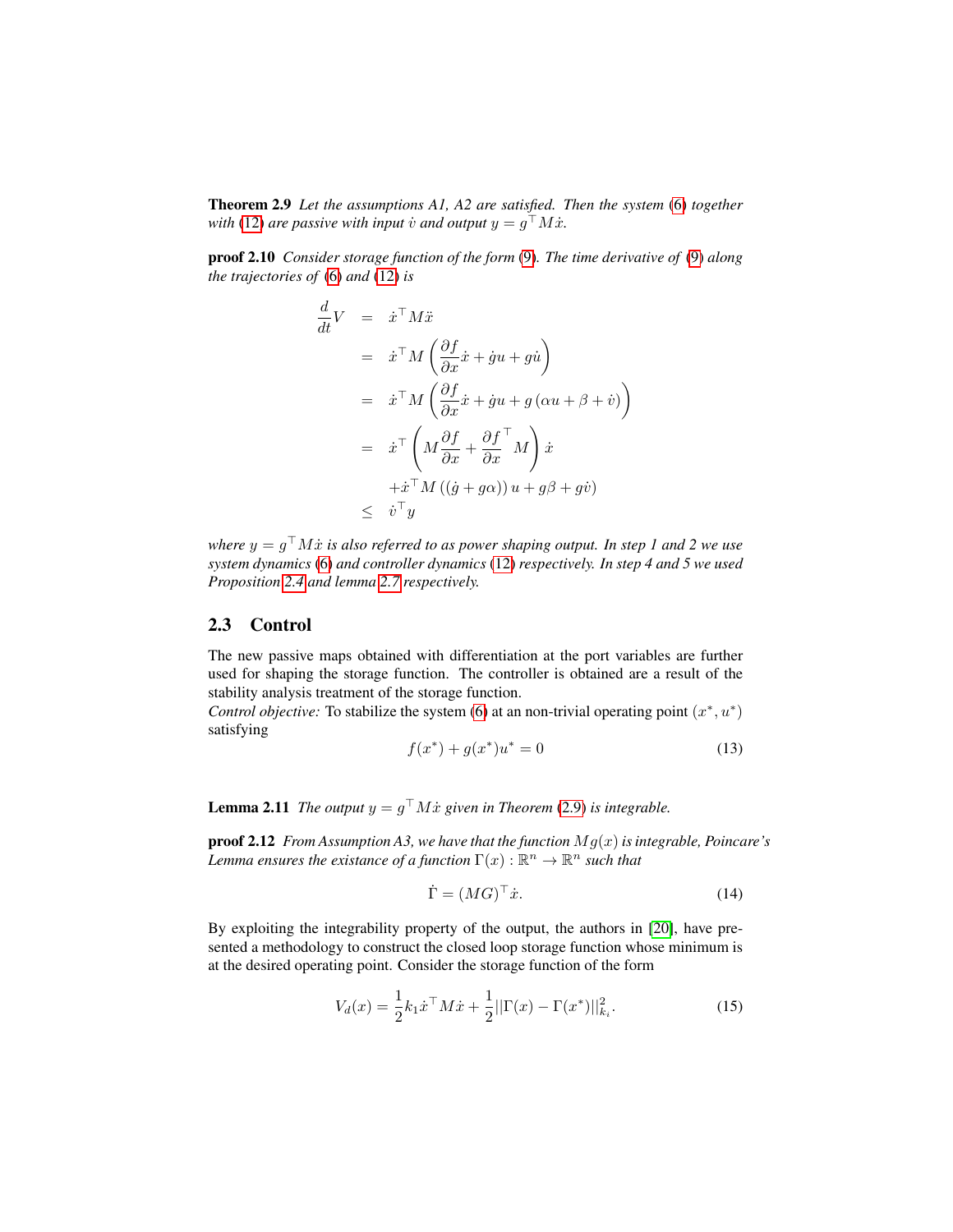Theorem 2.9 *Let the assumptions A1, A2 are satisfied. Then the system* [\(6\)](#page-3-0) *together with* [\(12\)](#page-4-3) are passive with input  $\dot{v}$  and output  $y = g^{\top}M\dot{x}$ .

proof 2.10 *Consider storage function of the form* [\(9\)](#page-3-1)*. The time derivative of* [\(9\)](#page-3-1) *along the trajectories of* [\(6\)](#page-3-0) *and* [\(12\)](#page-4-3) *is*

$$
\frac{d}{dt}V = \dot{x}^{\top}M\ddot{x}
$$
\n
$$
= \dot{x}^{\top}M\left(\frac{\partial f}{\partial x}\dot{x} + \dot{g}u + g\dot{u}\right)
$$
\n
$$
= \dot{x}^{\top}M\left(\frac{\partial f}{\partial x}\dot{x} + \dot{g}u + g\left(\alpha u + \beta + \dot{v}\right)\right)
$$
\n
$$
= \dot{x}^{\top}\left(M\frac{\partial f}{\partial x} + \frac{\partial f}{\partial x}^{\top}M\right)\dot{x}
$$
\n
$$
+ \dot{x}^{\top}M\left((\dot{g} + g\alpha)\right)u + g\beta + g\dot{v}
$$
\n
$$
\leq \dot{v}^{\top}y
$$

where  $y = g^{\top}M\dot{x}$  is also referred to as power shaping output. In step 1 and 2 we use *system dynamics* [\(6\)](#page-3-0) *and controller dynamics* [\(12\)](#page-4-3) *respectively. In step 4 and 5 we used Proposition [2.4](#page-3-3) and lemma [2.7](#page-4-2) respectively.*

#### 2.3 Control

The new passive maps obtained with differentiation at the port variables are further used for shaping the storage function. The controller is obtained are a result of the stability analysis treatment of the storage function.

*Control objective:* To stabilize the system [\(6\)](#page-3-0) at an non-trivial operating point  $(x^*, u^*)$ satisfying

<span id="page-6-1"></span>
$$
f(x^*) + g(x^*)u^* = 0 \tag{13}
$$

<span id="page-6-3"></span>**Lemma 2.11** *The output*  $y = g^{\top} M \dot{x}$  given in Theorem [\(2.9\)](#page-4-4) is integrable.

proof 2.12 *From Assumption A3, we have that the function* Mg(x)*is integrable, Poincare's* Lemma ensures the existance of a function  $\Gamma(x): \mathbb{R}^n \rightarrow \mathbb{R}^n$  such that

$$
\dot{\Gamma} = (MG)^{\top} \dot{x}.\tag{14}
$$

<span id="page-6-2"></span>By exploiting the integrability property of the output, the authors in [\[20\]](#page-16-13), have presented a methodology to construct the closed loop storage function whose minimum is at the desired operating point. Consider the storage function of the form

<span id="page-6-0"></span>
$$
V_d(x) = \frac{1}{2}k_1 \dot{x}^\top M \dot{x} + \frac{1}{2} ||\Gamma(x) - \Gamma(x^*)||_{k_i}^2.
$$
 (15)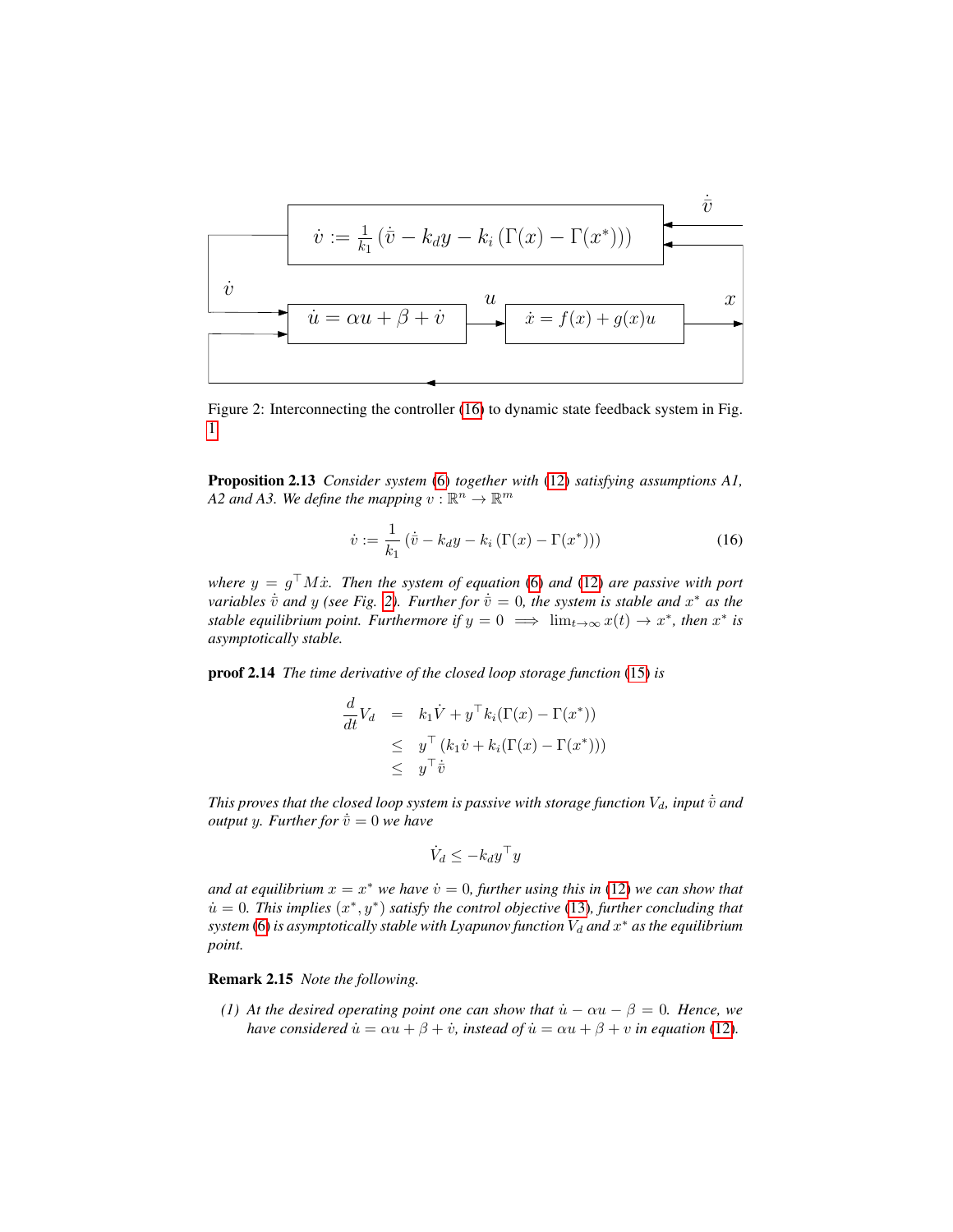<span id="page-7-1"></span>u˙ = αu + β + v˙ x˙ = f(x) + g(x)u x v˙ u v˙ := <sup>1</sup> k1 (v¯˙ − kdy − k<sup>i</sup> (Γ(x) − Γ(x ∗ ))) v¯˙

Figure 2: Interconnecting the controller [\(16\)](#page-7-0) to dynamic state feedback system in Fig. [1.](#page-5-0)

Proposition 2.13 *Consider system* [\(6\)](#page-3-0) *together with* [\(12\)](#page-4-3) *satisfying assumptions A1,* A2 and A3. We define the mapping  $v : \mathbb{R}^n \to \mathbb{R}^m$ 

<span id="page-7-0"></span>
$$
\dot{v} := \frac{1}{k_1} \left( \dot{\bar{v}} - k_d y - k_i \left( \Gamma(x) - \Gamma(x^*) \right) \right)
$$
 (16)

where  $y = g^{\top}M\dot{x}$ . Then the system of equation [\(6\)](#page-3-0) and [\(12\)](#page-4-3) are passive with port *variables*  $\dot{\bar{v}}$  *and* y (see Fig. [2\)](#page-7-1). Further for  $\dot{\bar{v}} = 0$ , the system is stable and  $x^*$  as the *stable equilibrium point. Furthermore if*  $y = 0 \implies \lim_{t \to \infty} x(t) \to x^*$ , then  $x^*$  is *asymptotically stable.*

proof 2.14 *The time derivative of the closed loop storage function* [\(15\)](#page-6-0) *is*

$$
\frac{d}{dt}V_d = k_1 \dot{V} + y^\top k_i (\Gamma(x) - \Gamma(x^*))
$$
\n
$$
\leq y^\top (k_1 \dot{v} + k_i (\Gamma(x) - \Gamma(x^*)))
$$
\n
$$
\leq y^\top \dot{\bar{v}}
$$

*This proves that the closed loop system is passive with storage function*  $V_d$ , *input*  $\dot{\bar{v}}$  *and output y. Further for*  $\dot{\overline{v}} = 0$  *we have* 

$$
\dot{V}_d \leq -k_d y^\top y
$$

and at equilibrium  $x = x^*$  we have  $\dot{v} = 0$ , further using this in [\(12\)](#page-4-3) we can show that  $\dot{u} = 0$ . This implies  $(x^*, y^*)$  satisfy the control objective [\(13\)](#page-6-1), further concluding that  $s$ ystem [\(6\)](#page-3-0) is asymptotically stable with Lyapunov function  $V_d$  and  $x^*$  as the equilibrium *point.*

Remark 2.15 *Note the following.*

*(1)* At the desired operating point one can show that  $\dot{u} - \alpha u - \beta = 0$ . Hence, we *have considered*  $\dot{u} = \alpha u + \beta + \dot{v}$ *, instead of*  $\dot{u} = \alpha u + \beta + v$  *in equation* [\(12\)](#page-4-3)*.*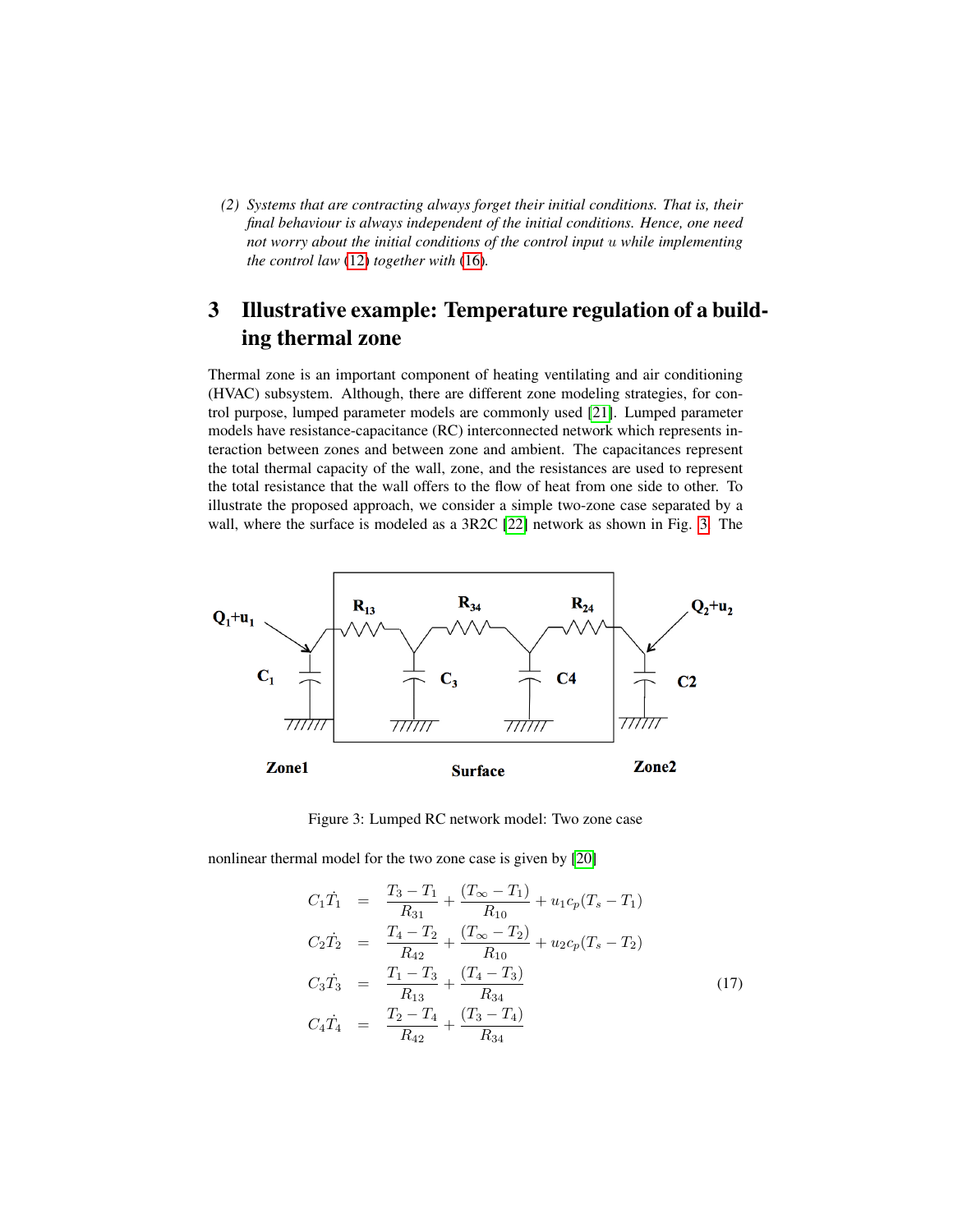*(2) Systems that are contracting always forget their initial conditions. That is, their final behaviour is always independent of the initial conditions. Hence, one need not worry about the initial conditions of the control input* u *while implementing the control law* [\(12\)](#page-4-3) *together with* [\(16\)](#page-7-0)*.*

## <span id="page-8-2"></span>3 Illustrative example: Temperature regulation of a building thermal zone

Thermal zone is an important component of heating ventilating and air conditioning (HVAC) subsystem. Although, there are different zone modeling strategies, for control purpose, lumped parameter models are commonly used [\[21\]](#page-17-0). Lumped parameter models have resistance-capacitance (RC) interconnected network which represents interaction between zones and between zone and ambient. The capacitances represent the total thermal capacity of the wall, zone, and the resistances are used to represent the total resistance that the wall offers to the flow of heat from one side to other. To illustrate the proposed approach, we consider a simple two-zone case separated by a wall, where the surface is modeled as a 3R2C [\[22\]](#page-17-1) network as shown in Fig. [3.](#page-8-0) The

<span id="page-8-0"></span>

Figure 3: Lumped RC network model: Two zone case

nonlinear thermal model for the two zone case is given by [\[20\]](#page-16-13)

<span id="page-8-1"></span>
$$
C_1\dot{T}_1 = \frac{T_3 - T_1}{R_{31}} + \frac{(T_{\infty} - T_1)}{R_{10}} + u_1c_p(T_s - T_1)
$$
  
\n
$$
C_2\dot{T}_2 = \frac{T_4 - T_2}{R_{42}} + \frac{(T_{\infty} - T_2)}{R_{10}} + u_2c_p(T_s - T_2)
$$
  
\n
$$
C_3\dot{T}_3 = \frac{T_1 - T_3}{R_{13}} + \frac{(T_4 - T_3)}{R_{34}}
$$
  
\n
$$
C_4\dot{T}_4 = \frac{T_2 - T_4}{R_{42}} + \frac{(T_3 - T_4)}{R_{34}}
$$
\n(17)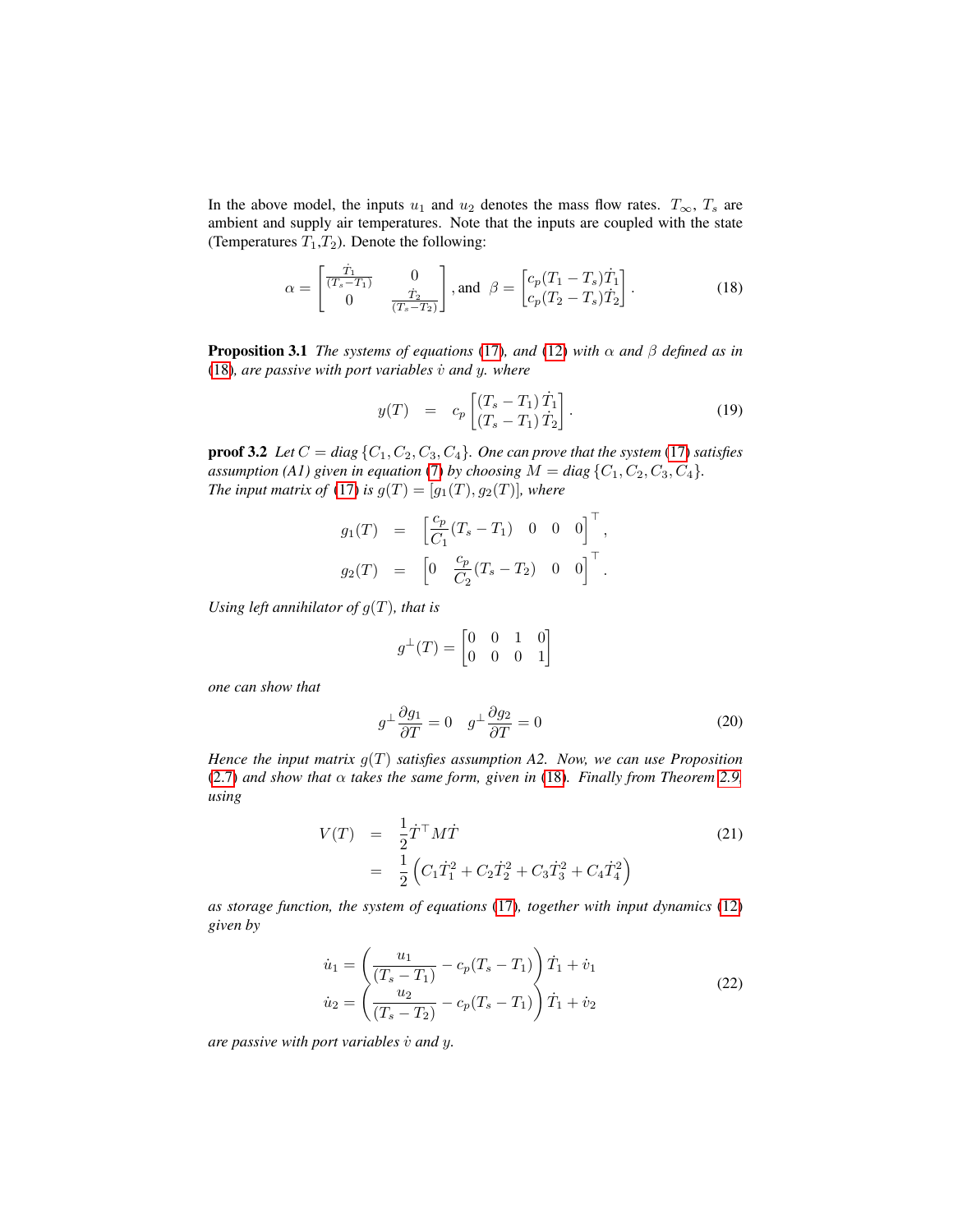In the above model, the inputs  $u_1$  and  $u_2$  denotes the mass flow rates.  $T_{\infty}$ ,  $T_s$  are ambient and supply air temperatures. Note that the inputs are coupled with the state (Temperatures  $T_1, T_2$ ). Denote the following:

<span id="page-9-0"></span>
$$
\alpha = \begin{bmatrix} \frac{\dot{T}_1}{(T_s - T_1)} & 0\\ 0 & \frac{\dot{T}_2}{(T_s - T_2)} \end{bmatrix}, \text{and } \beta = \begin{bmatrix} c_p (T_1 - T_s) \dot{T}_1\\ c_p (T_2 - T_s) \dot{T}_2 \end{bmatrix}.
$$
 (18)

**Proposition 3.1** *The systems of equations* [\(17\)](#page-8-1)*, and* [\(12\)](#page-4-3) *with*  $\alpha$  *and*  $\beta$  *defined as in* [\(18\)](#page-9-0)*, are passive with port variables* v˙ *and* y*. where*

$$
y(T) = c_p \begin{bmatrix} (T_s - T_1) \dot{T}_1 \\ (T_s - T_1) \dot{T}_2 \end{bmatrix}.
$$
 (19)

**proof 3.2** *Let*  $C = diag\{C_1, C_2, C_3, C_4\}$ *. One can prove that the system* [\(17\)](#page-8-1) *satisfies assumption (A1) given in equation [\(7\)](#page-3-2) by choosing*  $M = diag\{C_1, C_2, C_3, C_4\}$ . *The input matrix of* [\(17\)](#page-8-1) *is*  $g(T) = [g_1(T), g_2(T)]$ *, where* 

$$
g_1(T) = \begin{bmatrix} \frac{c_p}{C_1}(T_s - T_1) & 0 & 0 & 0 \end{bmatrix}^\top,
$$
  

$$
g_2(T) = \begin{bmatrix} 0 & \frac{c_p}{C_2}(T_s - T_2) & 0 & 0 \end{bmatrix}^\top.
$$

*Using left annihilator of* g(T)*, that is*

$$
g^{\perp}(T) = \begin{bmatrix} 0 & 0 & 1 & 0 \\ 0 & 0 & 0 & 1 \end{bmatrix}
$$

*one can show that*

<span id="page-9-2"></span>
$$
g^{\perp} \frac{\partial g_1}{\partial T} = 0 \quad g^{\perp} \frac{\partial g_2}{\partial T} = 0 \tag{20}
$$

*Hence the input matrix* g(T) *satisfies assumption A2. Now, we can use Proposition* [\(2.7\)](#page-4-2) *and show that* α *takes the same form, given in* [\(18\)](#page-9-0)*. Finally from Theorem [2.9,](#page-4-4) using*

$$
V(T) = \frac{1}{2} \dot{T}^{\top} M \dot{T}
$$
  
= 
$$
\frac{1}{2} \left( C_1 \dot{T}_1^2 + C_2 \dot{T}_2^2 + C_3 \dot{T}_3^2 + C_4 \dot{T}_4^2 \right)
$$
 (21)

*as storage function, the system of equations* [\(17\)](#page-8-1)*, together with input dynamics* [\(12\)](#page-4-3) *given by*

<span id="page-9-1"></span>
$$
\dot{u}_1 = \left(\frac{u_1}{(T_s - T_1)} - c_p(T_s - T_1)\right)\dot{T}_1 + \dot{v}_1
$$
  
\n
$$
\dot{u}_2 = \left(\frac{u_2}{(T_s - T_2)} - c_p(T_s - T_1)\right)\dot{T}_1 + \dot{v}_2
$$
\n(22)

*are passive with port variables*  $\dot{v}$  *and y.*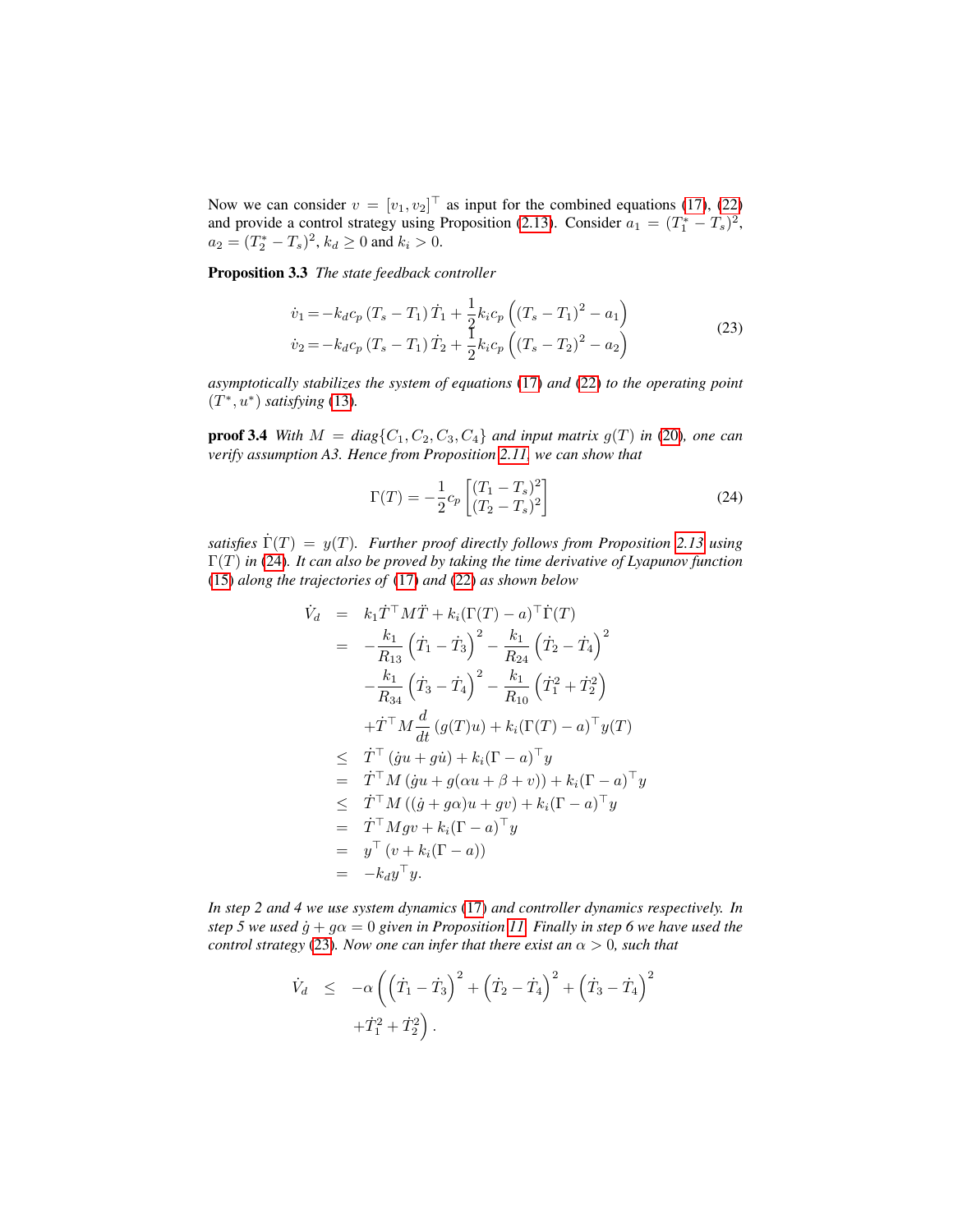Now we can consider  $v = [v_1, v_2]^\top$  as input for the combined equations [\(17\)](#page-8-1), [\(22\)](#page-9-1) and provide a control strategy using Proposition [\(2.13\)](#page-6-2). Consider  $a_1 = (T_1^* - T_s)^2$ ,  $a_2 = (T_2^* - T_s)^2$ ,  $k_d \ge 0$  and  $k_i > 0$ .

Proposition 3.3 *The state feedback controller*

<span id="page-10-1"></span>
$$
\dot{v}_1 = -k_d c_p \left(T_s - T_1\right) \dot{T}_1 + \frac{1}{2} k_i c_p \left(\left(T_s - T_1\right)^2 - a_1\right)
$$
\n
$$
\dot{v}_2 = -k_d c_p \left(T_s - T_1\right) \dot{T}_2 + \frac{1}{2} k_i c_p \left(\left(T_s - T_2\right)^2 - a_2\right)
$$
\n(23)

*asymptotically stabilizes the system of equations* [\(17\)](#page-8-1) *and* [\(22\)](#page-9-1) *to the operating point* (T ∗ , u<sup>∗</sup> ) *satisfying* [\(13\)](#page-6-1)*.*

**proof 3.4** With  $M = diag\{C_1, C_2, C_3, C_4\}$  and input matrix  $g(T)$  in [\(20\)](#page-9-2)*, one can verify assumption A3. Hence from Proposition [2.11,](#page-6-3) we can show that*

<span id="page-10-0"></span>
$$
\Gamma(T) = -\frac{1}{2}c_p \left[ \frac{(T_1 - T_s)^2}{(T_2 - T_s)^2} \right]
$$
\n(24)

*satisfies*  $\dot{\Gamma}(T) = y(T)$ *. Further proof directly follows from Proposition [2.13](#page-6-2) using* Γ(T) *in* [\(24\)](#page-10-0)*. It can also be proved by taking the time derivative of Lyapunov function* [\(15\)](#page-6-0) *along the trajectories of* [\(17\)](#page-8-1) *and* [\(22\)](#page-9-1) *as shown below*

$$
\dot{V}_d = k_1 \dot{T}^\top M \ddot{T} + k_i (\Gamma(T) - a)^\top \dot{\Gamma}(T) \n= -\frac{k_1}{R_{13}} (\dot{T}_1 - \dot{T}_3)^2 - \frac{k_1}{R_{24}} (\dot{T}_2 - \dot{T}_4)^2 \n- \frac{k_1}{R_{34}} (\dot{T}_3 - \dot{T}_4)^2 - \frac{k_1}{R_{10}} (\dot{T}_1^2 + \dot{T}_2^2) \n+ \dot{T}^\top M \frac{d}{dt} (g(T)u) + k_i (\Gamma(T) - a)^\top y(T) \n\leq \dot{T}^\top (\dot{g}u + g\dot{u}) + k_i (\Gamma - a)^\top y \n= \dot{T}^\top M (\dot{g}u + g(\alpha u + \beta + v)) + k_i (\Gamma - a)^\top y \n\leq \dot{T}^\top M ((\dot{g} + g\alpha)u + gv) + k_i (\Gamma - a)^\top y \n= \dot{T}^\top M gv + k_i (\Gamma - a)^\top y \n= y^\top (v + k_i (\Gamma - a)) \n= -k_d y^\top y.
$$

*In step 2 and 4 we use system dynamics* [\(17\)](#page-8-1) *and controller dynamics respectively. In step 5 we used*  $\dot{g} + g\alpha = 0$  *given in Proposition [11.](#page-4-1) Finally in step 6 we have used the control strategy* [\(23\)](#page-10-1)*. Now one can infer that there exist an*  $\alpha > 0$ *, such that* 

$$
\begin{array}{lcl} \dot{V}_d & \leq & -\alpha \left( \left( \dot{T}_1 - \dot{T}_3 \right)^2 + \left( \dot{T}_2 - \dot{T}_4 \right)^2 + \left( \dot{T}_3 - \dot{T}_4 \right)^2 \right. \\ & & \left. + \dot{T}_1^2 + \dot{T}_2^2 \right). \end{array}
$$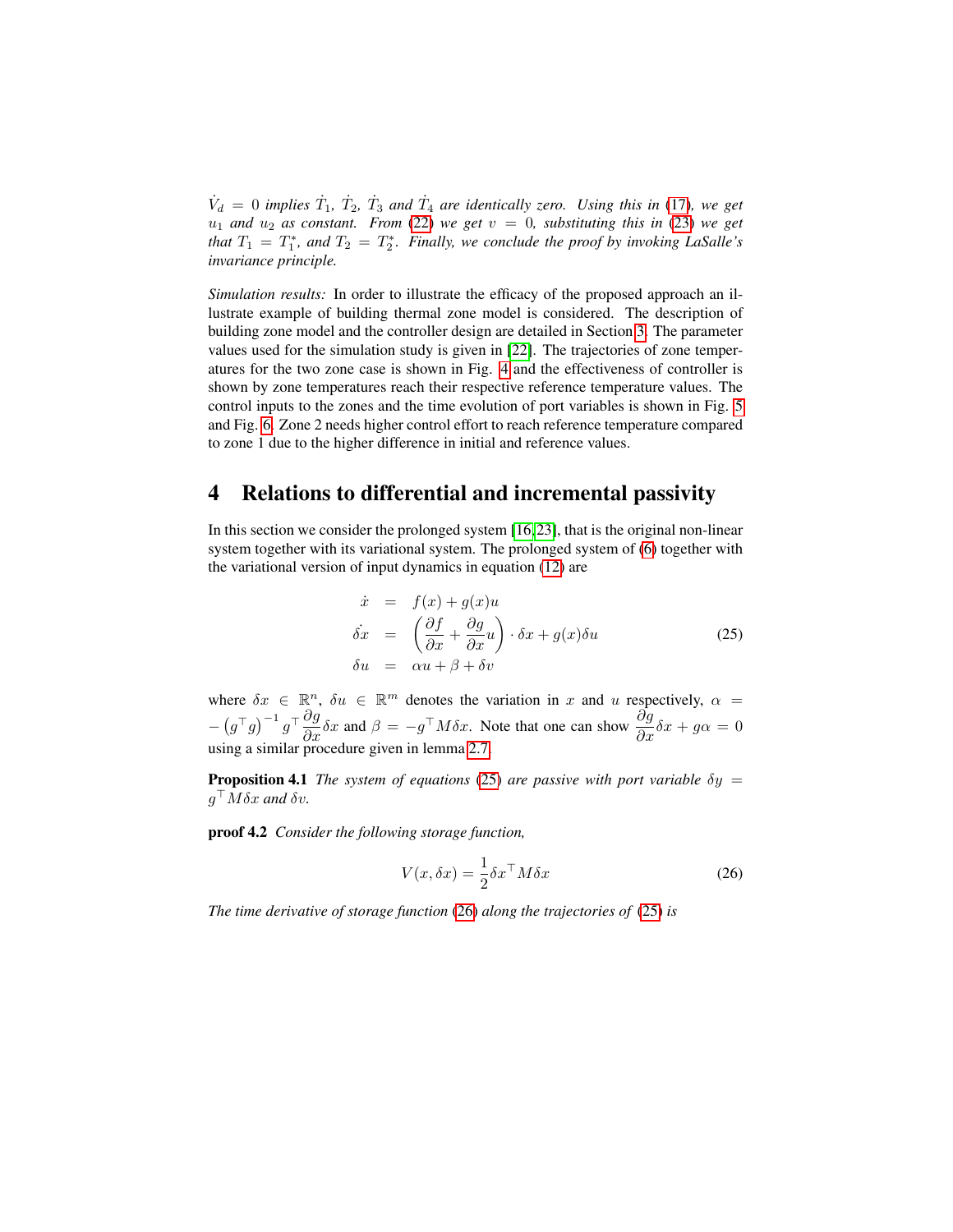$\dot{V}_d = 0$  *implies*  $\dot{T}_1$ ,  $\dot{T}_2$ ,  $\dot{T}_3$  *and*  $\dot{T}_4$  *are identically zero. Using this in* [\(17\)](#page-8-1), we get  $u_1$  *and*  $u_2$  *as constant. From* [\(22\)](#page-9-1) *we get*  $v = 0$ *, substituting this in* [\(23\)](#page-10-1) *we get that*  $T_1 = T_1^*$ *, and*  $T_2 = T_2^*$ *. Finally, we conclude the proof by invoking LaSalle's invariance principle.*

*Simulation results:* In order to illustrate the efficacy of the proposed approach an illustrate example of building thermal zone model is considered. The description of building zone model and the controller design are detailed in Section [3.](#page-8-2) The parameter values used for the simulation study is given in [\[22\]](#page-17-1). The trajectories of zone temperatures for the two zone case is shown in Fig. [4](#page-12-0) and the effectiveness of controller is shown by zone temperatures reach their respective reference temperature values. The control inputs to the zones and the time evolution of port variables is shown in Fig. [5](#page-13-0) and Fig. [6.](#page-14-0) Zone 2 needs higher control effort to reach reference temperature compared to zone 1 due to the higher difference in initial and reference values.

## <span id="page-11-2"></span>4 Relations to differential and incremental passivity

In this section we consider the prolonged system  $[16,23]$  $[16,23]$ , that is the original non-linear system together with its variational system. The prolonged system of [\(6\)](#page-3-0) together with the variational version of input dynamics in equation [\(12\)](#page-4-3) are

<span id="page-11-0"></span>
$$
\dot{x} = f(x) + g(x)u
$$
\n
$$
\dot{\delta x} = \left(\frac{\partial f}{\partial x} + \frac{\partial g}{\partial x}u\right) \cdot \delta x + g(x)\delta u
$$
\n
$$
\delta u = \alpha u + \beta + \delta v
$$
\n(25)

where  $\delta x \in \mathbb{R}^n$ ,  $\delta u \in \mathbb{R}^m$  denotes the variation in x and u respectively,  $\alpha =$  $-\left(g^{\top}g\right)^{-1}g^{\top}\frac{\partial g}{\partial x}\delta x$  and  $\beta = -g^{\top}M\delta x$ . Note that one can show  $\frac{\partial g}{\partial x}\delta x + g\alpha = 0$ using a similar procedure given in lemma [2.7.](#page-4-2)

**Proposition 4.1** *The system of equations* [\(25\)](#page-11-0) *are passive with port variable*  $\delta y =$  $g^{\top}M\delta x$  and  $\delta v$ .

proof 4.2 *Consider the following storage function,*

<span id="page-11-1"></span>
$$
V(x, \delta x) = \frac{1}{2} \delta x^\top M \delta x \tag{26}
$$

*The time derivative of storage function* [\(26\)](#page-11-1) *along the trajectories of* [\(25\)](#page-11-0) *is*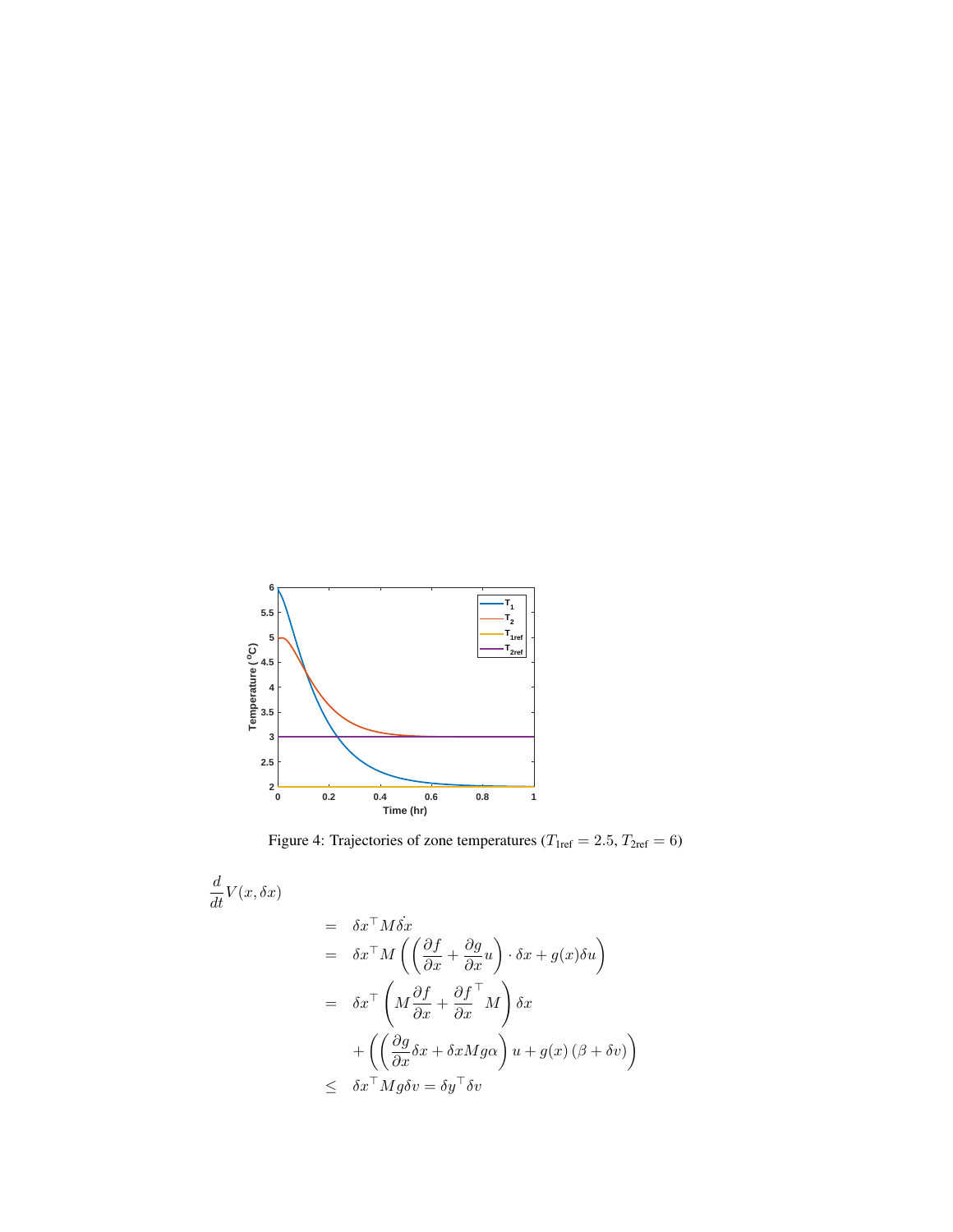<span id="page-12-0"></span>

<span id="page-12-1"></span>Figure 4: Trajectories of zone temperatures ( $T_{\text{1ref}} = 2.5, T_{\text{2ref}} = 6$ )

$$
\frac{d}{dt}V(x,\delta x) \n= \delta x^{\top}M\dot{\delta x} \n= \delta x^{\top}M\left(\left(\frac{\partial f}{\partial x} + \frac{\partial g}{\partial x}u\right) \cdot \delta x + g(x)\delta u\right) \n= \delta x^{\top}\left(M\frac{\partial f}{\partial x} + \frac{\partial f}{\partial x}^{\top}M\right)\delta x \n+ \left(\left(\frac{\partial g}{\partial x}\delta x + \delta xMg\alpha\right)u + g(x)\left(\beta + \delta v\right)\right) \n\leq \delta x^{\top}Mg\delta v = \delta y^{\top}\delta v
$$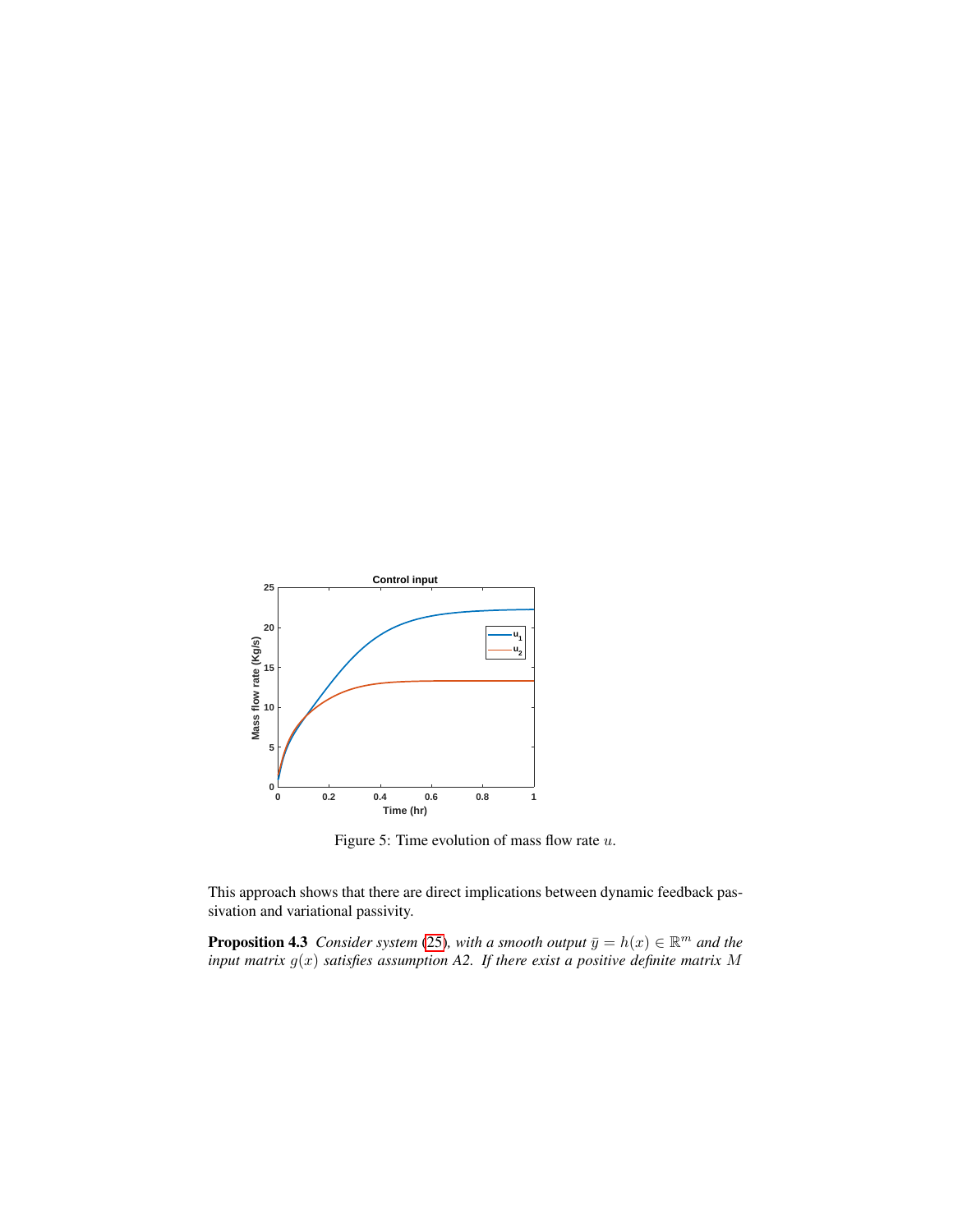<span id="page-13-0"></span>

<span id="page-13-1"></span>Figure 5: Time evolution of mass flow rate  $u$ .

This approach shows that there are direct implications between dynamic feedback passivation and variational passivity.

**Proposition 4.3** *Consider system* [\(25\)](#page-11-0), with a smooth output  $\bar{y} = h(x) \in \mathbb{R}^m$  and the *input matrix* g(x) *satisfies assumption A2. If there exist a positive definite matrix* M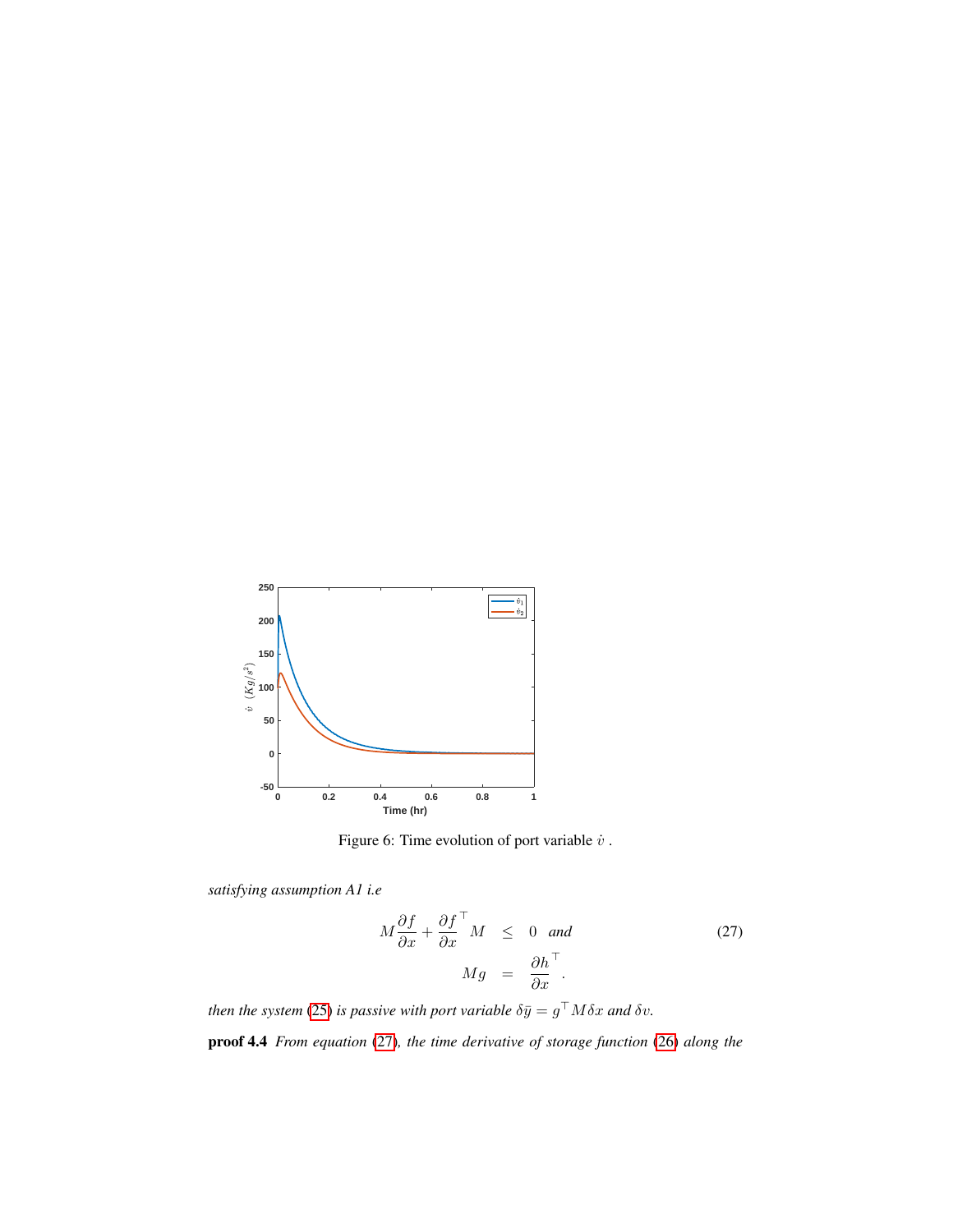<span id="page-14-0"></span>

Figure 6: Time evolution of port variable  $\dot{v}$  .

*satisfying assumption A1 i.e*

$$
M\frac{\partial f}{\partial x} + \frac{\partial f}{\partial x}^{\top} M \leq 0 \text{ and}
$$
\n
$$
Mg = \frac{\partial h}{\partial x}^{\top}.
$$
\n(27)

*then the system* [\(25\)](#page-11-0) *is passive with port variable*  $\delta \bar{y} = g^{\top} M \delta x$  *and*  $\delta v$ *.* proof 4.4 *From equation* [\(27\)](#page-12-1)*, the time derivative of storage function* [\(26\)](#page-11-1) *along the*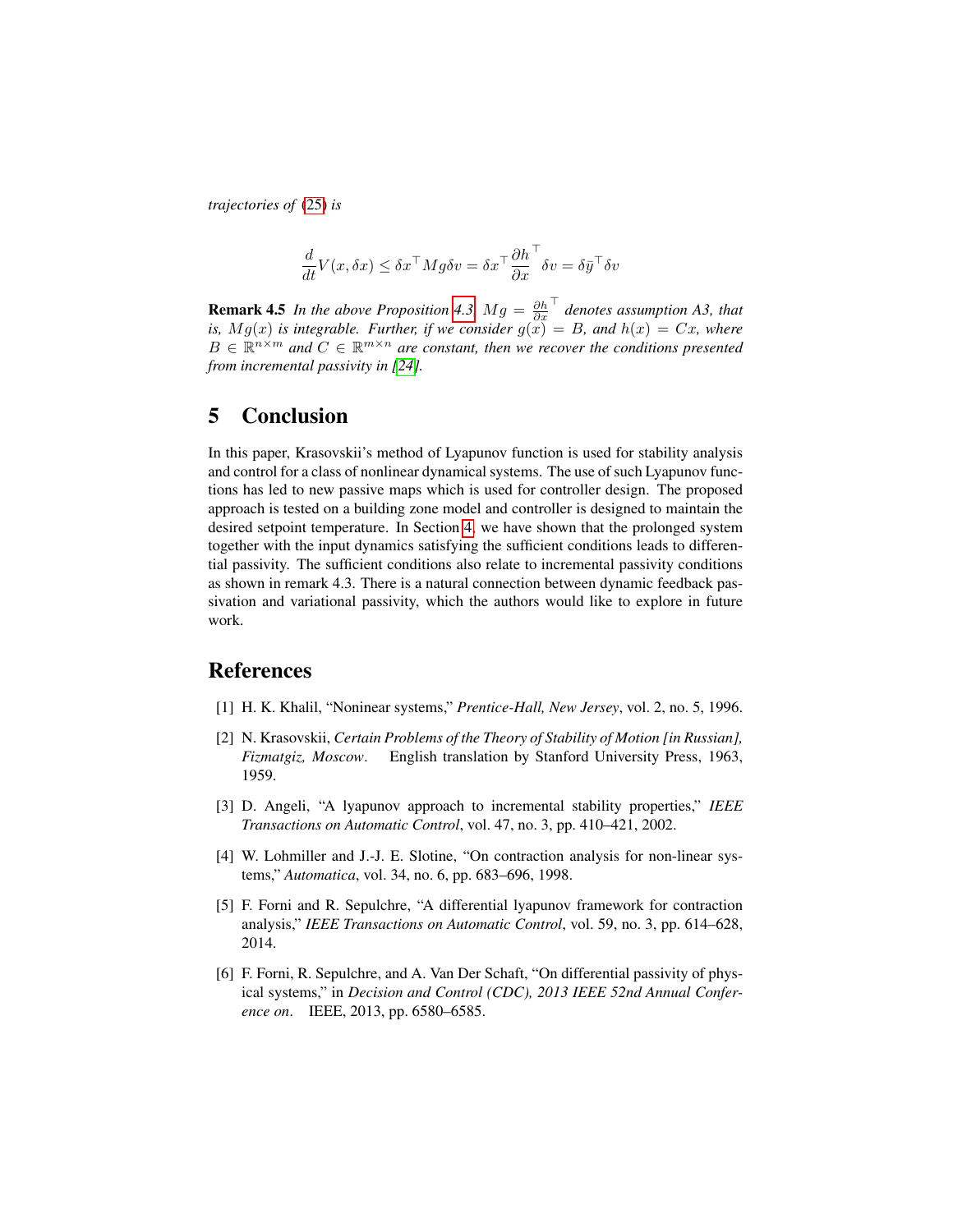*trajectories of* [\(25\)](#page-11-0) *is*

$$
\frac{d}{dt}V(x, \delta x) \le \delta x^\top M g \delta v = \delta x^\top \frac{\partial h}{\partial x}^\top \delta v = \delta \bar{y}^\top \delta v
$$

**Remark 4.5** *In the above Proposition [4.3,](#page-13-1)*  $Mg = \frac{\partial h}{\partial x}$ > *denotes assumption A3, that is,*  $Mg(x)$  *is integrable. Further, if we consider*  $g(x) = B$ *, and*  $h(x) = Cx$ *, where*  $B \in \mathbb{R}^{n \times m}$  and  $C \in \mathbb{R}^{m \times n}$  are constant, then we recover the conditions presented *from incremental passivity in [\[24\]](#page-17-3).*

#### 5 Conclusion

In this paper, Krasovskii's method of Lyapunov function is used for stability analysis and control for a class of nonlinear dynamical systems. The use of such Lyapunov functions has led to new passive maps which is used for controller design. The proposed approach is tested on a building zone model and controller is designed to maintain the desired setpoint temperature. In Section [4,](#page-11-2) we have shown that the prolonged system together with the input dynamics satisfying the sufficient conditions leads to differential passivity. The sufficient conditions also relate to incremental passivity conditions as shown in remark 4.3. There is a natural connection between dynamic feedback passivation and variational passivity, which the authors would like to explore in future work.

### References

- <span id="page-15-0"></span>[1] H. K. Khalil, "Noninear systems," *Prentice-Hall, New Jersey*, vol. 2, no. 5, 1996.
- <span id="page-15-1"></span>[2] N. Krasovskii, *Certain Problems of the Theory of Stability of Motion [in Russian], Fizmatgiz, Moscow*. English translation by Stanford University Press, 1963, 1959.
- <span id="page-15-2"></span>[3] D. Angeli, "A lyapunov approach to incremental stability properties," *IEEE Transactions on Automatic Control*, vol. 47, no. 3, pp. 410–421, 2002.
- <span id="page-15-3"></span>[4] W. Lohmiller and J.-J. E. Slotine, "On contraction analysis for non-linear systems," *Automatica*, vol. 34, no. 6, pp. 683–696, 1998.
- <span id="page-15-4"></span>[5] F. Forni and R. Sepulchre, "A differential lyapunov framework for contraction analysis," *IEEE Transactions on Automatic Control*, vol. 59, no. 3, pp. 614–628, 2014.
- <span id="page-15-5"></span>[6] F. Forni, R. Sepulchre, and A. Van Der Schaft, "On differential passivity of physical systems," in *Decision and Control (CDC), 2013 IEEE 52nd Annual Conference on*. IEEE, 2013, pp. 6580–6585.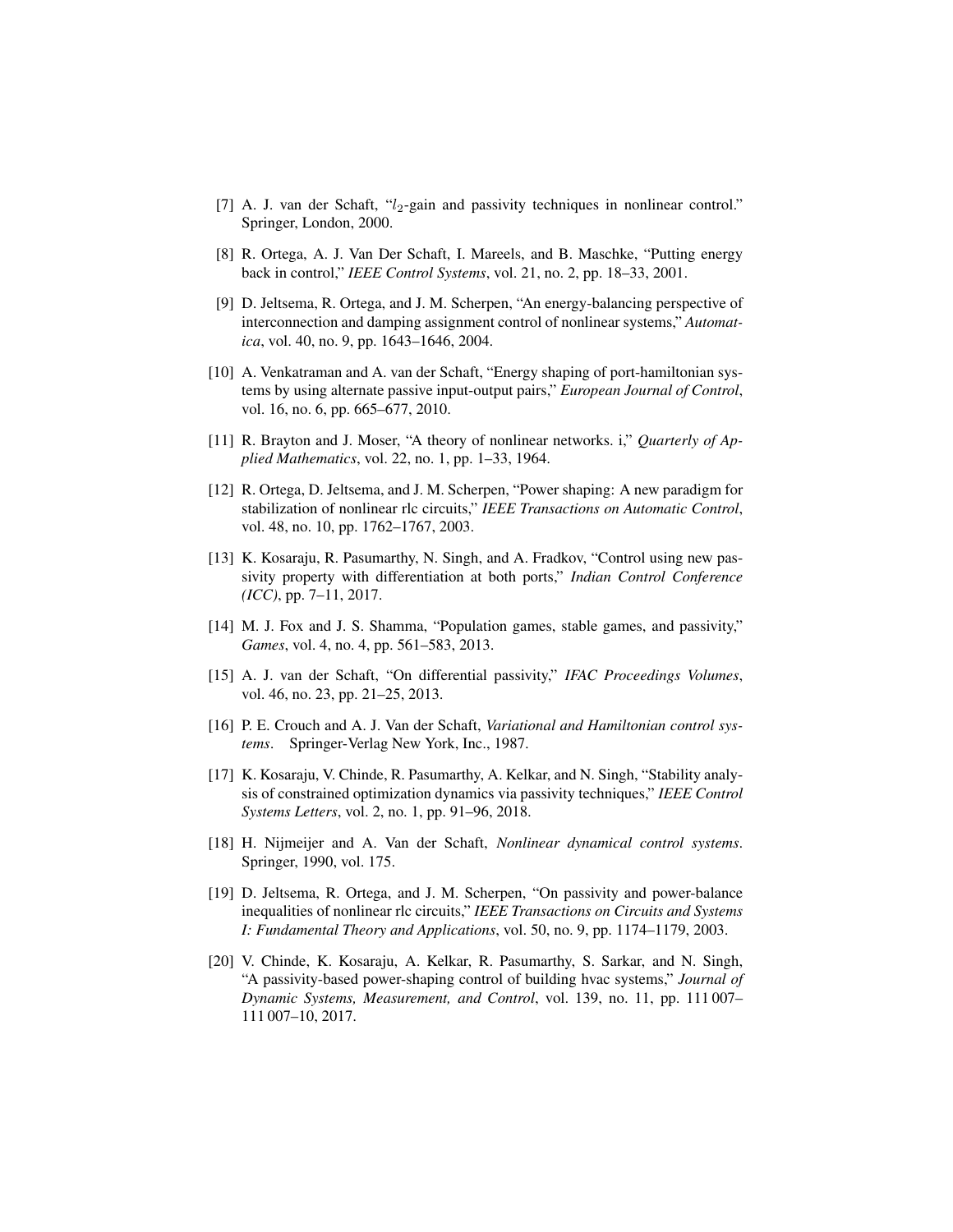- <span id="page-16-0"></span>[7] A. J. van der Schaft,  $\mathcal{U}_2$ -gain and passivity techniques in nonlinear control." Springer, London, 2000.
- <span id="page-16-1"></span>[8] R. Ortega, A. J. Van Der Schaft, I. Mareels, and B. Maschke, "Putting energy back in control," *IEEE Control Systems*, vol. 21, no. 2, pp. 18–33, 2001.
- <span id="page-16-2"></span>[9] D. Jeltsema, R. Ortega, and J. M. Scherpen, "An energy-balancing perspective of interconnection and damping assignment control of nonlinear systems," *Automatica*, vol. 40, no. 9, pp. 1643–1646, 2004.
- <span id="page-16-3"></span>[10] A. Venkatraman and A. van der Schaft, "Energy shaping of port-hamiltonian systems by using alternate passive input-output pairs," *European Journal of Control*, vol. 16, no. 6, pp. 665–677, 2010.
- <span id="page-16-4"></span>[11] R. Brayton and J. Moser, "A theory of nonlinear networks. i," *Quarterly of Applied Mathematics*, vol. 22, no. 1, pp. 1–33, 1964.
- <span id="page-16-5"></span>[12] R. Ortega, D. Jeltsema, and J. M. Scherpen, "Power shaping: A new paradigm for stabilization of nonlinear rlc circuits," *IEEE Transactions on Automatic Control*, vol. 48, no. 10, pp. 1762–1767, 2003.
- <span id="page-16-6"></span>[13] K. Kosaraju, R. Pasumarthy, N. Singh, and A. Fradkov, "Control using new passivity property with differentiation at both ports," *Indian Control Conference (ICC)*, pp. 7–11, 2017.
- <span id="page-16-7"></span>[14] M. J. Fox and J. S. Shamma, "Population games, stable games, and passivity," *Games*, vol. 4, no. 4, pp. 561–583, 2013.
- <span id="page-16-8"></span>[15] A. J. van der Schaft, "On differential passivity," *IFAC Proceedings Volumes*, vol. 46, no. 23, pp. 21–25, 2013.
- <span id="page-16-9"></span>[16] P. E. Crouch and A. J. Van der Schaft, *Variational and Hamiltonian control systems*. Springer-Verlag New York, Inc., 1987.
- <span id="page-16-10"></span>[17] K. Kosaraju, V. Chinde, R. Pasumarthy, A. Kelkar, and N. Singh, "Stability analysis of constrained optimization dynamics via passivity techniques," *IEEE Control Systems Letters*, vol. 2, no. 1, pp. 91–96, 2018.
- <span id="page-16-11"></span>[18] H. Nijmeijer and A. Van der Schaft, *Nonlinear dynamical control systems*. Springer, 1990, vol. 175.
- <span id="page-16-12"></span>[19] D. Jeltsema, R. Ortega, and J. M. Scherpen, "On passivity and power-balance inequalities of nonlinear rlc circuits," *IEEE Transactions on Circuits and Systems I: Fundamental Theory and Applications*, vol. 50, no. 9, pp. 1174–1179, 2003.
- <span id="page-16-13"></span>[20] V. Chinde, K. Kosaraju, A. Kelkar, R. Pasumarthy, S. Sarkar, and N. Singh, "A passivity-based power-shaping control of building hvac systems," *Journal of Dynamic Systems, Measurement, and Control*, vol. 139, no. 11, pp. 111 007– 111 007–10, 2017.